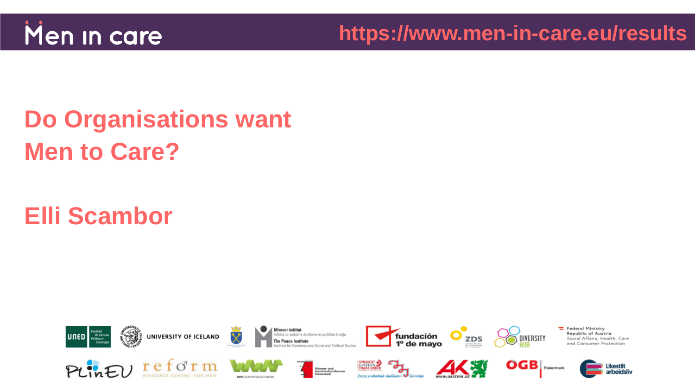

# **Do Organisations want Men to Care?**

### **Elli Scambor**

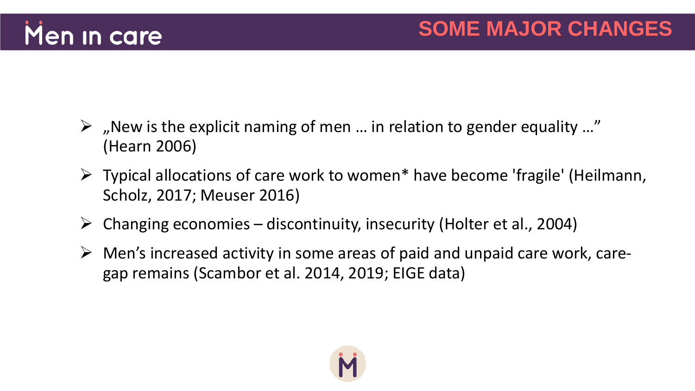

- $\triangleright$  "New is the explicit naming of men ... in relation to gender equality ..." (Hearn 2006)
- $\triangleright$  Typical allocations of care work to women\* have become 'fragile' (Heilmann, Scholz, 2017; Meuser 2016)
- $\triangleright$  Changing economies discontinuity, insecurity (Holter et al., 2004)
- $\triangleright$  Men's increased activity in some areas of paid and unpaid care work, caregap remains (Scambor et al. 2014, 2019; EIGE data)

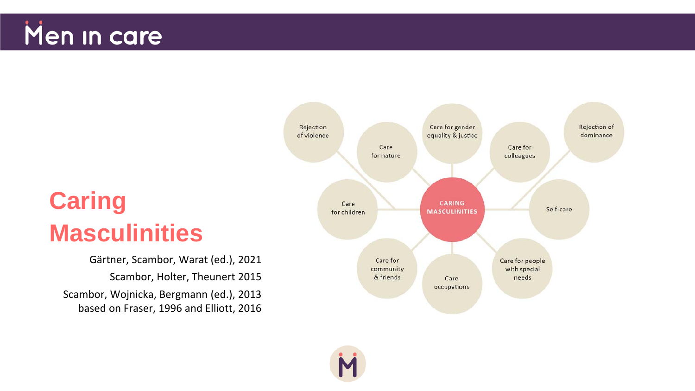

## **Caring Masculinities**

Gärtner, Scambor, Warat (ed.), 2021 Scambor, Holter, Theunert 2015 Scambor, Wojnicka, Bergmann (ed.), 2013 based on Fraser, 1996 and Elliott, 2016

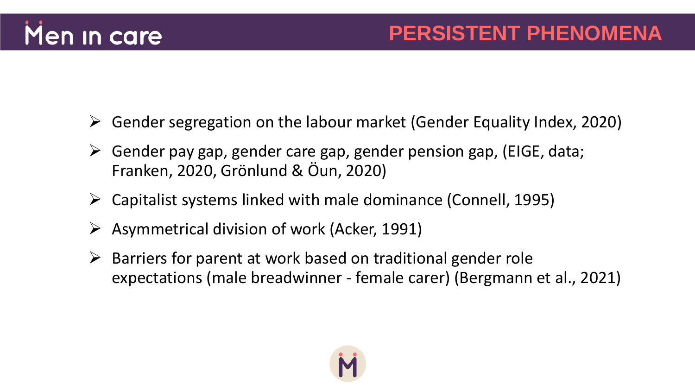

- $\triangleright$  Gender segregation on the labour market (Gender Equality Index, 2020)
- $\triangleright$  Gender pay gap, gender care gap, gender pension gap, (EIGE, data; Franken, 2020, Grönlund & Öun, 2020)
- $\triangleright$  Capitalist systems linked with male dominance (Connell, 1995)
- $\triangleright$  Asymmetrical division of work (Acker, 1991)
- $\triangleright$  Barriers for parent at work based on traditional gender role expectations (male breadwinner - female carer) (Bergmann et al., 2021)

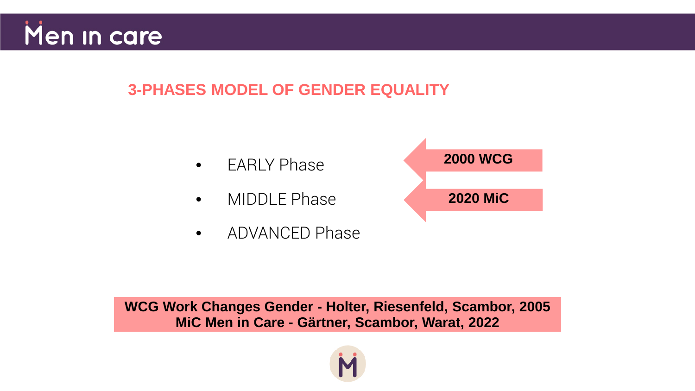

#### **3-PHASES MODEL OF GENDER EQUALITY**

- **FARIY Phase**
- MIDDLE Phase
- ADVANCED Phase



**WCG Work Changes Gender - Holter, Riesenfeld, Scambor, 2005 MiC Men in Care - Gärtner, Scambor, Warat, 2022**